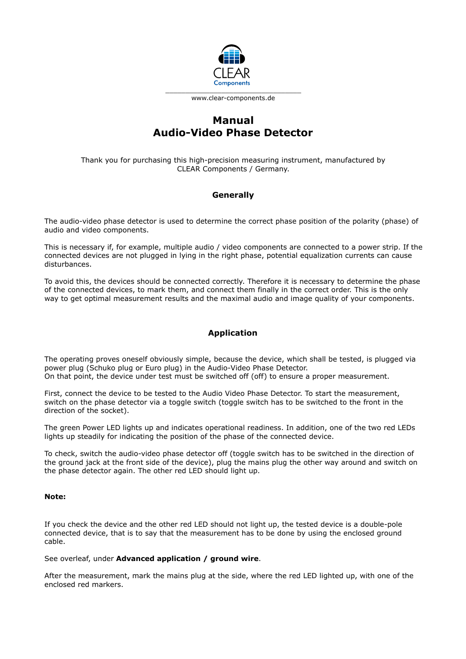

www.clear-components.de

# **Manual Audio-Video Phase Detector**

Thank you for purchasing this high-precision measuring instrument, manufactured by CLEAR Components / Germany.

## **Generally**

The audio-video phase detector is used to determine the correct phase position of the polarity (phase) of audio and video components.

This is necessary if, for example, multiple audio / video components are connected to a power strip. If the connected devices are not plugged in lying in the right phase, potential equalization currents can cause disturbances.

To avoid this, the devices should be connected correctly. Therefore it is necessary to determine the phase of the connected devices, to mark them, and connect them finally in the correct order. This is the only way to get optimal measurement results and the maximal audio and image quality of your components.

## **Application**

The operating proves oneself obviously simple, because the device, which shall be tested, is plugged via power plug (Schuko plug or Euro plug) in the Audio-Video Phase Detector. On that point, the device under test must be switched off (off) to ensure a proper measurement.

First, connect the device to be tested to the Audio Video Phase Detector. To start the measurement, switch on the phase detector via a toggle switch (toggle switch has to be switched to the front in the direction of the socket).

The green Power LED lights up and indicates operational readiness. In addition, one of the two red LEDs lights up steadily for indicating the position of the phase of the connected device.

To check, switch the audio-video phase detector off (toggle switch has to be switched in the direction of the ground jack at the front side of the device), plug the mains plug the other way around and switch on the phase detector again. The other red LED should light up.

#### **Note:**

If you check the device and the other red LED should not light up, the tested device is a double-pole connected device, that is to say that the measurement has to be done by using the enclosed ground cable.

See overleaf, under **Advanced application / ground wire**.

After the measurement, mark the mains plug at the side, where the red LED lighted up, with one of the enclosed red markers.